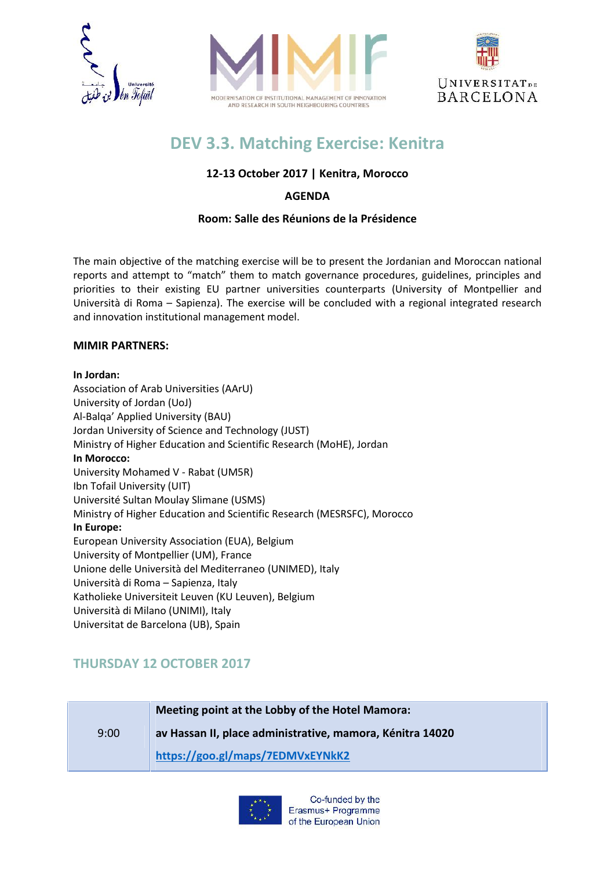





# **DEV 3.3. Matching Exercise: Kenitra**

## **12-13 October 2017 | Kenitra, Morocco**

## **AGENDA**

### **Room: Salle des Réunions de la Présidence**

The main objective of the matching exercise will be to present the Jordanian and Moroccan national reports and attempt to "match" them to match governance procedures, guidelines, principles and priorities to their existing EU partner universities counterparts (University of Montpellier and Università di Roma – Sapienza). The exercise will be concluded with a regional integrated research and innovation institutional management model.

#### **MIMIR PARTNERS:**

#### **In Jordan:**

Association of Arab Universities (AArU) University of Jordan (UoJ) Al-Balqa' Applied University (BAU) Jordan University of Science and Technology (JUST) Ministry of Higher Education and Scientific Research (MoHE), Jordan **In Morocco:** University Mohamed V - Rabat (UM5R) Ibn Tofail University (UIT) Université Sultan Moulay Slimane (USMS) Ministry of Higher Education and Scientific Research (MESRSFC), Morocco **In Europe:** European University Association (EUA), Belgium University of Montpellier (UM), France Unione delle Università del Mediterraneo (UNIMED), Italy Università di Roma – Sapienza, Italy Katholieke Universiteit Leuven (KU Leuven), Belgium Università di Milano (UNIMI), Italy Universitat de Barcelona (UB), Spain

# **THURSDAY 12 OCTOBER 2017**

9:00 **Meeting point at the Lobby of the Hotel Mamora: av Hassan II, place administrative, mamora, Kénitra 14020 https://goo.gl/maps/7EDMVxEYNkK2**

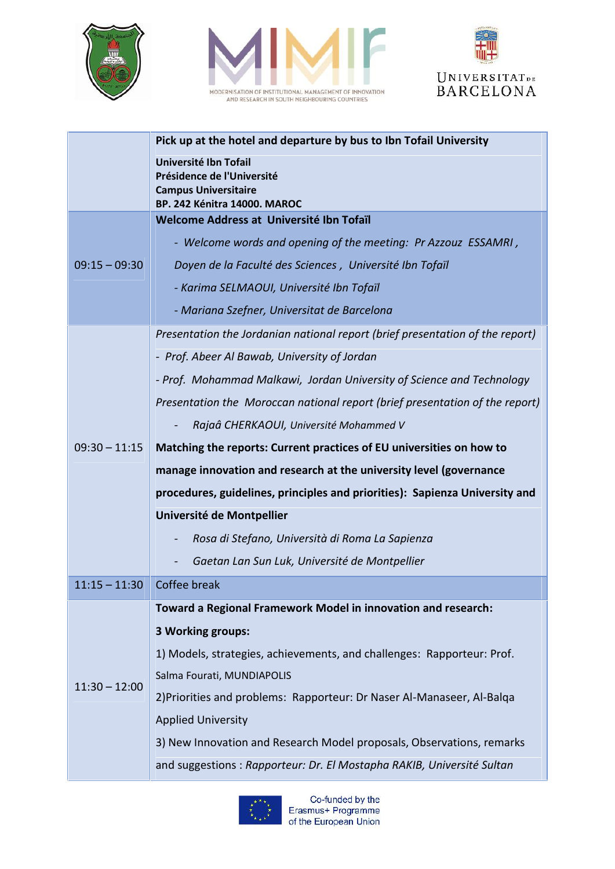





|                 | Pick up at the hotel and departure by bus to Ibn Tofail University                                                 |
|-----------------|--------------------------------------------------------------------------------------------------------------------|
|                 | Université Ibn Tofail<br>Présidence de l'Université<br><b>Campus Universitaire</b><br>BP. 242 Kénitra 14000. MAROC |
|                 | Welcome Address at Université Ibn Tofaïl                                                                           |
|                 | - Welcome words and opening of the meeting: Pr Azzouz ESSAMRI,                                                     |
| $09:15 - 09:30$ | Doyen de la Faculté des Sciences, Université Ibn Tofaïl                                                            |
|                 | - Karima SELMAOUI, Université Ibn Tofaïl                                                                           |
|                 | - Mariana Szefner, Universitat de Barcelona                                                                        |
|                 | Presentation the Jordanian national report (brief presentation of the report)                                      |
|                 | - Prof. Abeer Al Bawab, University of Jordan                                                                       |
|                 | - Prof. Mohammad Malkawi, Jordan University of Science and Technology                                              |
|                 | Presentation the Moroccan national report (brief presentation of the report)                                       |
|                 | Rajaâ CHERKAOUI, Université Mohammed V                                                                             |
| $09:30 - 11:15$ | Matching the reports: Current practices of EU universities on how to                                               |
|                 | manage innovation and research at the university level (governance                                                 |
|                 | procedures, guidelines, principles and priorities): Sapienza University and                                        |
|                 | Université de Montpellier                                                                                          |
|                 | Rosa di Stefano, Università di Roma La Sapienza                                                                    |
|                 | Gaetan Lan Sun Luk, Université de Montpellier                                                                      |
| $11:15 - 11:30$ | Coffee break                                                                                                       |
|                 | Toward a Regional Framework Model in innovation and research:                                                      |
| $11:30 - 12:00$ | 3 Working groups:                                                                                                  |
|                 | 1) Models, strategies, achievements, and challenges: Rapporteur: Prof.                                             |
|                 | Salma Fourati, MUNDIAPOLIS                                                                                         |
|                 | 2) Priorities and problems: Rapporteur: Dr Naser Al-Manaseer, Al-Balga                                             |
|                 | <b>Applied University</b>                                                                                          |
|                 | 3) New Innovation and Research Model proposals, Observations, remarks                                              |
|                 | and suggestions : Rapporteur: Dr. El Mostapha RAKIB, Université Sultan                                             |

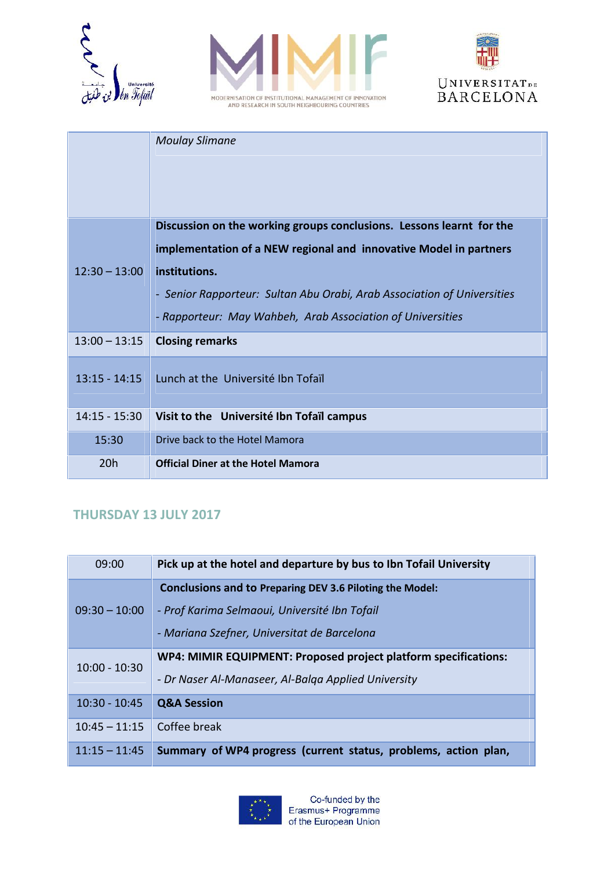





|                 | <b>Moulay Slimane</b>                                                   |
|-----------------|-------------------------------------------------------------------------|
|                 | Discussion on the working groups conclusions. Lessons learnt for the    |
|                 | implementation of a NEW regional and innovative Model in partners       |
| $12:30 - 13:00$ | institutions.                                                           |
|                 | - Senior Rapporteur: Sultan Abu Orabi, Arab Association of Universities |
|                 | - Rapporteur: May Wahbeh, Arab Association of Universities              |
| $13:00 - 13:15$ | <b>Closing remarks</b>                                                  |
| $13:15 - 14:15$ | Lunch at the Université Ibn Tofaïl                                      |
|                 |                                                                         |
| 14:15 - 15:30   | Visit to the Université Ibn Tofaïl campus                               |
| 15:30           | Drive back to the Hotel Mamora                                          |
| 20h             | <b>Official Diner at the Hotel Mamora</b>                               |

# **THURSDAY 13 JULY 2017**

| 09:00           | Pick up at the hotel and departure by bus to Ibn Tofail University                                                     |
|-----------------|------------------------------------------------------------------------------------------------------------------------|
| $09:30 - 10:00$ | Conclusions and to Preparing DEV 3.6 Piloting the Model:                                                               |
|                 | - Prof Karima Selmaoui, Université Ibn Tofail<br>- Mariana Szefner, Universitat de Barcelona                           |
|                 |                                                                                                                        |
| $10:00 - 10:30$ | WP4: MIMIR EQUIPMENT: Proposed project platform specifications:<br>- Dr Naser Al-Manaseer, Al-Balga Applied University |
| $10:30 - 10:45$ | <b>Q&amp;A Session</b>                                                                                                 |
| $10:45 - 11:15$ | Coffee break                                                                                                           |
| $11:15 - 11:45$ | Summary of WP4 progress (current status, problems, action plan,                                                        |